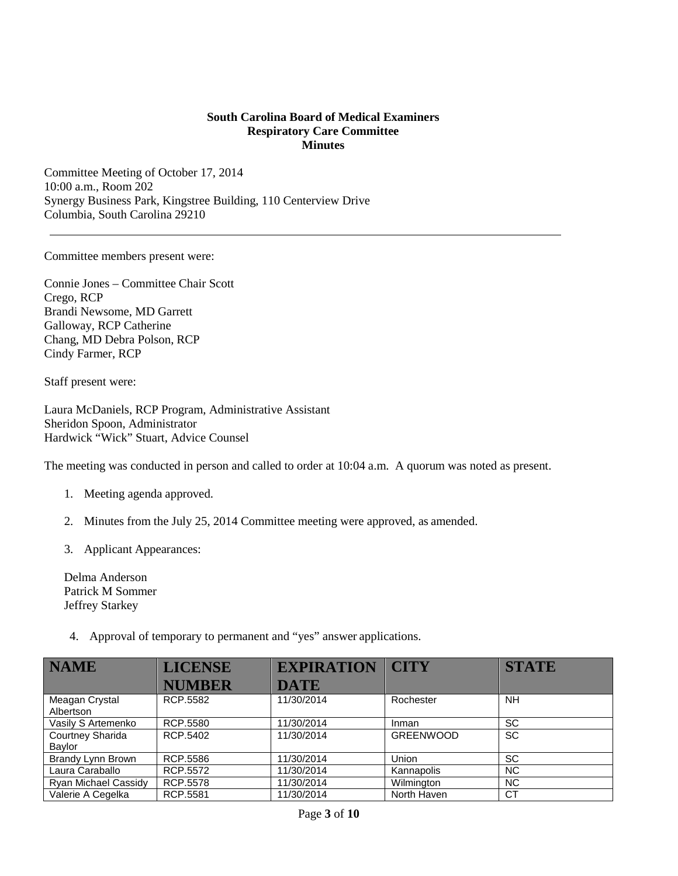## **South Carolina Board of Medical Examiners Respiratory Care Committee Minutes**

Committee Meeting of October 17, 2014 10:00 a.m., Room 202 Synergy Business Park, Kingstree Building, 110 Centerview Drive Columbia, South Carolina 29210

Committee members present were:

Connie Jones – Committee Chair Scott Crego, RCP Brandi Newsome, MD Garrett Galloway, RCP Catherine Chang, MD Debra Polson, RCP Cindy Farmer, RCP

Staff present were:

Laura McDaniels, RCP Program, Administrative Assistant Sheridon Spoon, Administrator Hardwick "Wick" Stuart, Advice Counsel

The meeting was conducted in person and called to order at 10:04 a.m. A quorum was noted as present.

- 1. Meeting agenda approved.
- 2. Minutes from the July 25, 2014 Committee meeting were approved, as amended.
- 3. Applicant Appearances:

Delma Anderson Patrick M Sommer Jeffrey Starkey

4. Approval of temporary to permanent and "yes" answer applications.

| <b>NAME</b>                       | <b>LICENSE</b> | <b>EXPIRATION</b> | <b>CITY</b>      | <b>STATE</b> |
|-----------------------------------|----------------|-------------------|------------------|--------------|
|                                   | <b>NUMBER</b>  | <b>DATE</b>       |                  |              |
| Meagan Crystal<br>Albertson       | RCP.5582       | 11/30/2014        | Rochester        | NH.          |
| Vasily S Artemenko                | RCP.5580       | 11/30/2014        | Inman            | <b>SC</b>    |
| <b>Courtney Sharida</b><br>Baylor | RCP.5402       | 11/30/2014        | <b>GREENWOOD</b> | <b>SC</b>    |
| Brandy Lynn Brown                 | RCP.5586       | 11/30/2014        | <b>Union</b>     | <b>SC</b>    |
| Laura Caraballo                   | RCP.5572       | 11/30/2014        | Kannapolis       | <b>NC</b>    |
| Ryan Michael Cassidy              | RCP.5578       | 11/30/2014        | Wilmington       | <b>NC</b>    |
| Valerie A Cegelka                 | RCP.5581       | 11/30/2014        | North Haven      | <b>CT</b>    |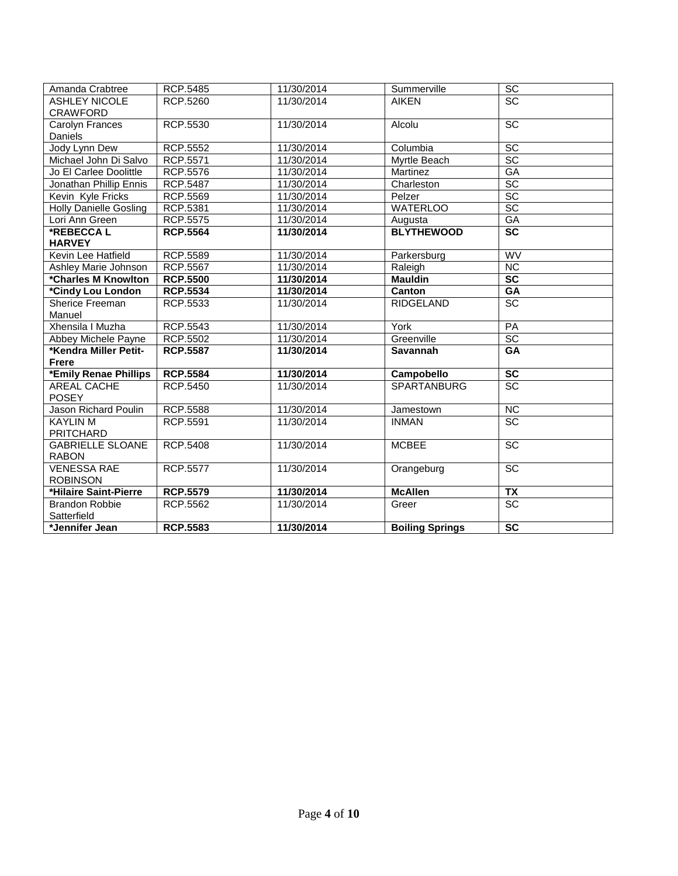| Amanda Crabtree               | <b>RCP.5485</b> | 11/30/2014 | Summerville            | SC                     |
|-------------------------------|-----------------|------------|------------------------|------------------------|
| <b>ASHLEY NICOLE</b>          | RCP.5260        | 11/30/2014 | <b>AIKEN</b>           | $\overline{SC}$        |
| <b>CRAWFORD</b>               |                 |            |                        |                        |
| Carolyn Frances               | RCP.5530        | 11/30/2014 | Alcolu                 | $\overline{SC}$        |
| Daniels                       |                 |            |                        |                        |
| Jody Lynn Dew                 | <b>RCP.5552</b> | 11/30/2014 | Columbia               | SC                     |
| Michael John Di Salvo         | <b>RCP.5571</b> | 11/30/2014 | Myrtle Beach           | $\overline{SC}$        |
| Jo El Carlee Doolittle        | <b>RCP.5576</b> | 11/30/2014 | Martinez               | GA                     |
| Jonathan Phillip Ennis        | RCP.5487        | 11/30/2014 | Charleston             | $\overline{SC}$        |
| Kevin Kyle Fricks             | RCP.5569        | 11/30/2014 | Pelzer                 | $\overline{SC}$        |
| <b>Holly Danielle Gosling</b> | RCP.5381        | 11/30/2014 | <b>WATERLOO</b>        | $\overline{SC}$        |
| Lori Ann Green                | RCP.5575        | 11/30/2014 | Augusta                | GA                     |
| *REBECCAL                     | <b>RCP.5564</b> | 11/30/2014 | <b>BLYTHEWOOD</b>      | $\overline{SC}$        |
| <b>HARVEY</b>                 |                 |            |                        |                        |
| Kevin Lee Hatfield            | <b>RCP.5589</b> | 11/30/2014 | Parkersburg            | <b>WV</b>              |
| Ashley Marie Johnson          | <b>RCP.5567</b> | 11/30/2014 | Raleigh                | NC                     |
| *Charles M Knowlton           | <b>RCP.5500</b> | 11/30/2014 | <b>Mauldin</b>         | $\overline{SC}$        |
| *Cindy Lou London             | <b>RCP.5534</b> | 11/30/2014 | Canton                 | $G$ A                  |
| Sherice Freeman               | RCP.5533        | 11/30/2014 | <b>RIDGELAND</b>       | $\overline{SC}$        |
| Manuel                        |                 |            |                        |                        |
| Xhensila I Muzha              | <b>RCP.5543</b> | 11/30/2014 | York                   | PA                     |
| Abbey Michele Payne           | <b>RCP.5502</b> | 11/30/2014 | Greenville             | SC                     |
| *Kendra Miller Petit-         | <b>RCP.5587</b> | 11/30/2014 | <b>Savannah</b>        | GA                     |
| <b>Frere</b>                  |                 |            |                        |                        |
| *Emily Renae Phillips         | <b>RCP.5584</b> | 11/30/2014 | Campobello             | $\overline{SC}$        |
| AREAL CACHE                   | RCP.5450        | 11/30/2014 | <b>SPARTANBURG</b>     | $\overline{SC}$        |
| <b>POSEY</b>                  |                 |            |                        |                        |
| Jason Richard Poulin          | RCP.5588        | 11/30/2014 | Jamestown              | NC                     |
| <b>KAYLIN M</b>               | RCP.5591        | 11/30/2014 | <b>INMAN</b>           | $\overline{SC}$        |
| <b>PRITCHARD</b>              |                 |            |                        |                        |
| <b>GABRIELLE SLOANE</b>       | <b>RCP.5408</b> | 11/30/2014 | <b>MCBEE</b>           | $\overline{SC}$        |
| <b>RABON</b>                  |                 |            |                        |                        |
| <b>VENESSA RAE</b>            | RCP.5577        | 11/30/2014 | Orangeburg             | SC                     |
| <b>ROBINSON</b>               |                 |            |                        |                        |
| *Hilaire Saint-Pierre         | <b>RCP.5579</b> | 11/30/2014 | <b>McAllen</b>         | $\overline{TX}$        |
| <b>Brandon Robbie</b>         | RCP.5562        | 11/30/2014 | Greer                  | $\overline{SC}$        |
| Satterfield                   |                 |            |                        |                        |
| *Jennifer Jean                | <b>RCP.5583</b> | 11/30/2014 | <b>Boiling Springs</b> | $\overline{\text{sc}}$ |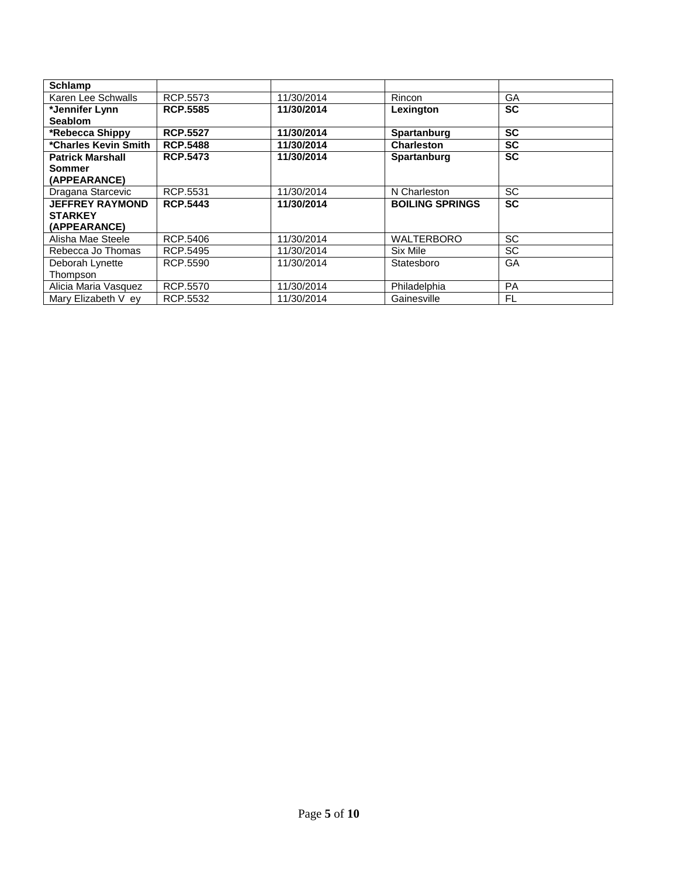| <b>Schlamp</b>          |                 |            |                        |           |
|-------------------------|-----------------|------------|------------------------|-----------|
| Karen Lee Schwalls      | RCP.5573        | 11/30/2014 | Rincon                 | GA        |
| *Jennifer Lynn          | <b>RCP.5585</b> | 11/30/2014 | Lexington              | <b>SC</b> |
| <b>Seablom</b>          |                 |            |                        |           |
| *Rebecca Shippy         | <b>RCP.5527</b> | 11/30/2014 | <b>Spartanburg</b>     | <b>SC</b> |
| *Charles Kevin Smith    | <b>RCP.5488</b> | 11/30/2014 | <b>Charleston</b>      | <b>SC</b> |
| <b>Patrick Marshall</b> | <b>RCP.5473</b> | 11/30/2014 | Spartanburg            | <b>SC</b> |
| Sommer                  |                 |            |                        |           |
| (APPEARANCE)            |                 |            |                        |           |
| Dragana Starcevic       | RCP.5531        | 11/30/2014 | N Charleston           | <b>SC</b> |
| <b>JEFFREY RAYMOND</b>  | <b>RCP.5443</b> | 11/30/2014 | <b>BOILING SPRINGS</b> | <b>SC</b> |
| <b>STARKEY</b>          |                 |            |                        |           |
| (APPEARANCE)            |                 |            |                        |           |
| Alisha Mae Steele       | RCP.5406        | 11/30/2014 | <b>WALTERBORO</b>      | SC        |
| Rebecca Jo Thomas       | RCP.5495        | 11/30/2014 | Six Mile               | SC        |
| Deborah Lynette         | RCP.5590        | 11/30/2014 | Statesboro             | GA        |
| Thompson                |                 |            |                        |           |
| Alicia Maria Vasquez    | RCP.5570        | 11/30/2014 | Philadelphia           | <b>PA</b> |
| Mary Elizabeth V ev     | RCP.5532        | 11/30/2014 | Gainesville            | FL        |